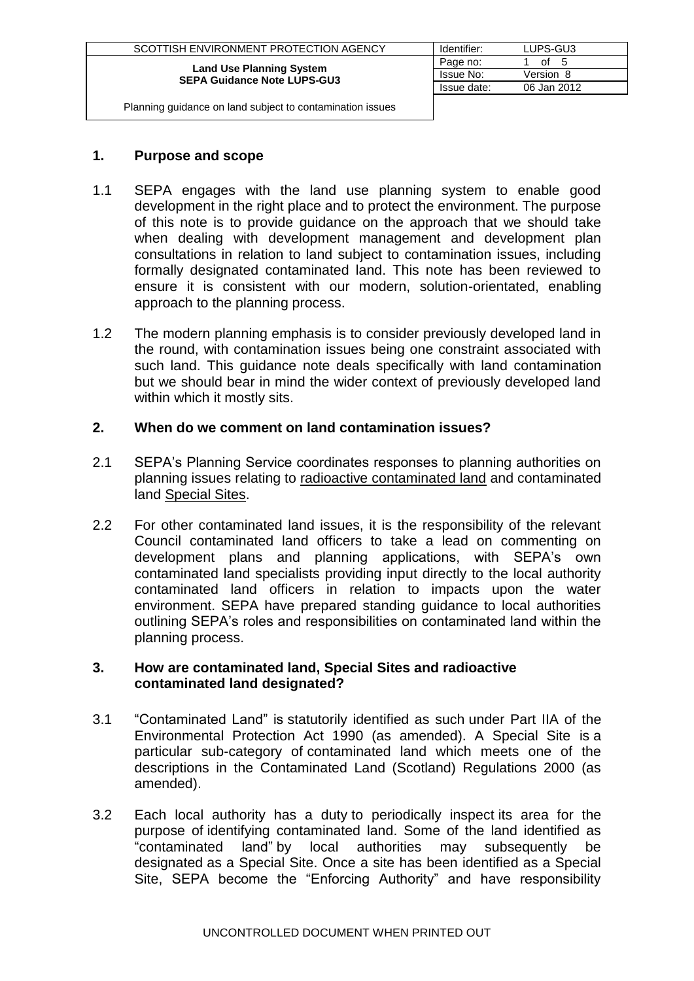| SCOTTISH ENVIRONMENT PROTECTION AGENCY                                | Identifier: | LUPS-GU3    |
|-----------------------------------------------------------------------|-------------|-------------|
| <b>Land Use Planning System</b><br><b>SEPA Guidance Note LUPS-GU3</b> | Page no:    | οf<br>- 5   |
|                                                                       | Issue No:   | Version 8   |
|                                                                       | Issue date: | 06 Jan 2012 |
|                                                                       |             |             |

# **1. Purpose and scope**

- 1.1 SEPA engages with the land use planning system to enable good development in the right place and to protect the environment. The purpose of this note is to provide guidance on the approach that we should take when dealing with development management and development plan consultations in relation to land subject to contamination issues, including formally designated contaminated land. This note has been reviewed to ensure it is consistent with our modern, solution-orientated, enabling approach to the planning process.
- 1.2 The modern planning emphasis is to consider previously developed land in the round, with contamination issues being one constraint associated with such land. This guidance note deals specifically with land contamination but we should bear in mind the wider context of previously developed land within which it mostly sits.

# **2. When do we comment on land contamination issues?**

- 2.1 SEPA's Planning Service coordinates responses to planning authorities on planning issues relating to radioactive contaminated land and contaminated land Special Sites.
- 2.2 For other contaminated land issues, it is the responsibility of the relevant Council contaminated land officers to take a lead on commenting on development plans and planning applications, with SEPA's own contaminated land specialists providing input directly to the local authority contaminated land officers in relation to impacts upon the water environment. SEPA have prepared standing guidance to local authorities outlining SEPA's roles and responsibilities on contaminated land within the planning process.

### **3. How are contaminated land, Special Sites and radioactive contaminated land designated?**

- 3.1 "Contaminated Land" is statutorily identified as such under Part IIA of the Environmental Protection Act 1990 (as amended). A Special Site is a particular sub-category of contaminated land which meets one of the descriptions in the Contaminated Land (Scotland) Regulations 2000 (as amended).
- 3.2 Each local authority has a duty to periodically inspect its area for the purpose of identifying contaminated land. Some of the land identified as "contaminated land" by local authorities may subsequently be designated as a Special Site. Once a site has been identified as a Special Site, SEPA become the "Enforcing Authority" and have responsibility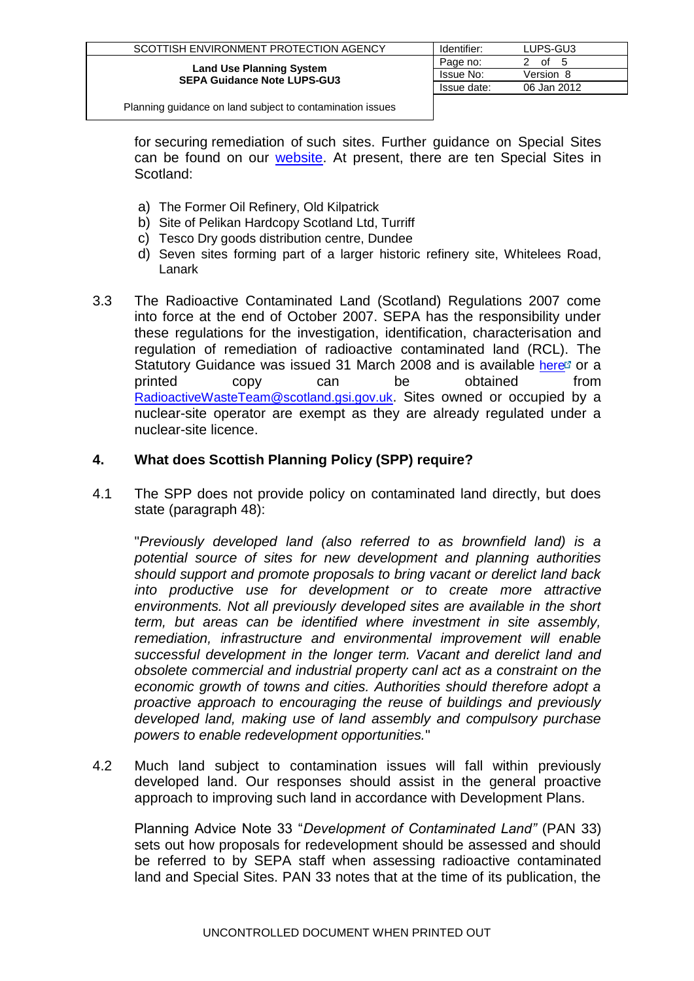| SCOTTISH ENVIRONMENT PROTECTION AGENCY                                | Identifier: | LUPS-GU3       |
|-----------------------------------------------------------------------|-------------|----------------|
| <b>Land Use Planning System</b><br><b>SEPA Guidance Note LUPS-GU3</b> | Page no:    | of<br>- 5<br>2 |
|                                                                       | Issue No:   | Version 8      |
|                                                                       | Issue date: | 06 Jan 2012    |
|                                                                       |             |                |

for securing remediation of such sites. Further guidance on Special Sites can be found on our [website.](http://www.sepa.org.uk/land/contaminated_land/extent_of_contaminated_land/special_sites_in_scotland.aspx) At present, there are ten Special Sites in Scotland:

- a) The Former Oil Refinery, Old Kilpatrick
- b) Site of Pelikan Hardcopy Scotland Ltd, Turriff
- c) Tesco Dry goods distribution centre, Dundee
- d) Seven sites forming part of a larger historic refinery site, Whitelees Road, Lanark
- 3.3 The Radioactive Contaminated Land (Scotland) Regulations 2007 come into force at the end of October 2007. SEPA has the responsibility under these regulations for the investigation, identification, characterisation and regulation of remediation of radioactive contaminated land (RCL). The Statutory Guidance was issued 31 March 2008 and is available [here](http://www.scotland.gov.uk/Publications/2008/03/31102033/8)  $\sigma$  or a printed copy can be obtained from [RadioactiveWasteTeam@scotland.gsi.gov.uk](mailto:RadioactiveWasteTeam@scotland.gsi.gov.uk). Sites owned or occupied by a nuclear-site operator are exempt as they are already regulated under a nuclear-site licence.

### **4. What does Scottish Planning Policy (SPP) require?**

4.1 The SPP does not provide policy on contaminated land directly, but does state (paragraph 48):

"*Previously developed land (also referred to as brownfield land) is a potential source of sites for new development and planning authorities should support and promote proposals to bring vacant or derelict land back into productive use for development or to create more attractive environments. Not all previously developed sites are available in the short term, but areas can be identified where investment in site assembly, remediation, infrastructure and environmental improvement will enable successful development in the longer term. Vacant and derelict land and obsolete commercial and industrial property canl act as a constraint on the economic growth of towns and cities. Authorities should therefore adopt a proactive approach to encouraging the reuse of buildings and previously developed land, making use of land assembly and compulsory purchase powers to enable redevelopment opportunities.*"

4.2 Much land subject to contamination issues will fall within previously developed land. Our responses should assist in the general proactive approach to improving such land in accordance with Development Plans.

Planning Advice Note 33 "*Development of Contaminated Land"* (PAN 33) sets out how proposals for redevelopment should be assessed and should be referred to by SEPA staff when assessing radioactive contaminated land and Special Sites. PAN 33 notes that at the time of its publication, the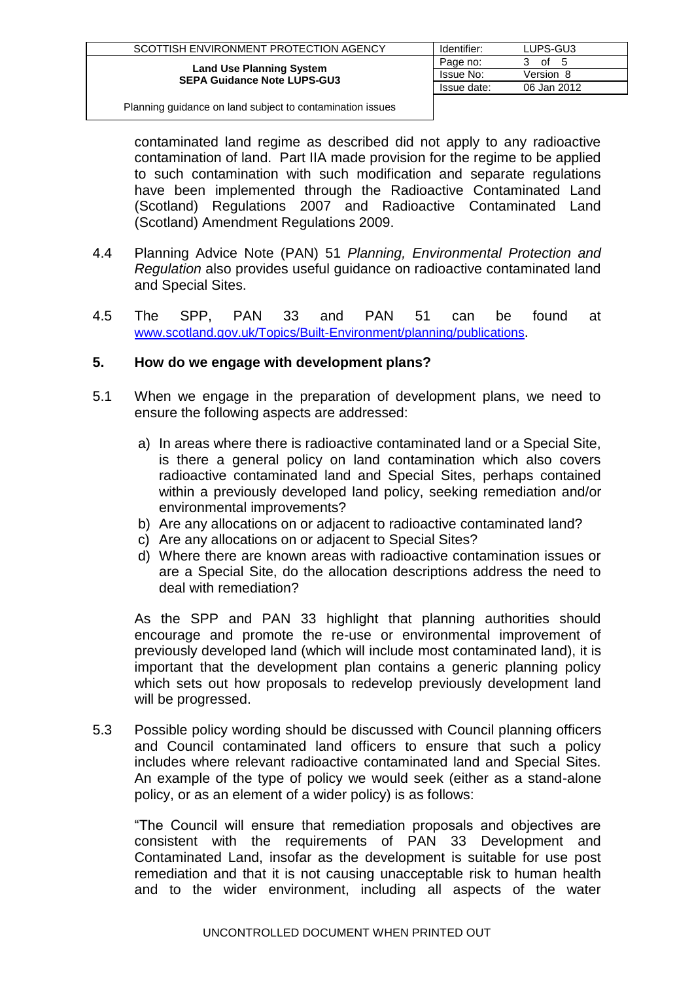| SCOTTISH ENVIRONMENT PROTECTION AGENCY                                | Identifier: | LUPS-GU3    |
|-----------------------------------------------------------------------|-------------|-------------|
| <b>Land Use Planning System</b><br><b>SEPA Guidance Note LUPS-GU3</b> | Page no:    | οf<br>-5    |
|                                                                       | Issue No:   | Version 8   |
|                                                                       | Issue date: | 06 Jan 2012 |
|                                                                       |             |             |

contaminated land regime as described did not apply to any radioactive contamination of land. Part IIA made provision for the regime to be applied to such contamination with such modification and separate regulations have been implemented through the Radioactive Contaminated Land (Scotland) Regulations 2007 and Radioactive Contaminated Land (Scotland) Amendment Regulations 2009.

- 4.4 Planning Advice Note (PAN) 51 *Planning, Environmental Protection and Regulation* also provides useful guidance on radioactive contaminated land and Special Sites.
- 4.5 The SPP, PAN 33 and PAN 51 can be found at [www.scotland.gov.uk/Topics/Built-Environment/planning/publications](http://www.scotland.gov.uk/Topics/Built-Environment/planning/publications).

## **5. How do we engage with development plans?**

- 5.1 When we engage in the preparation of development plans, we need to ensure the following aspects are addressed:
	- a) In areas where there is radioactive contaminated land or a Special Site, is there a general policy on land contamination which also covers radioactive contaminated land and Special Sites, perhaps contained within a previously developed land policy, seeking remediation and/or environmental improvements?
	- b) Are any allocations on or adjacent to radioactive contaminated land?
	- c) Are any allocations on or adjacent to Special Sites?
	- d) Where there are known areas with radioactive contamination issues or are a Special Site, do the allocation descriptions address the need to deal with remediation?

As the SPP and PAN 33 highlight that planning authorities should encourage and promote the re-use or environmental improvement of previously developed land (which will include most contaminated land), it is important that the development plan contains a generic planning policy which sets out how proposals to redevelop previously development land will be progressed.

5.3 Possible policy wording should be discussed with Council planning officers and Council contaminated land officers to ensure that such a policy includes where relevant radioactive contaminated land and Special Sites. An example of the type of policy we would seek (either as a stand-alone policy, or as an element of a wider policy) is as follows:

"The Council will ensure that remediation proposals and objectives are consistent with the requirements of PAN 33 Development and Contaminated Land, insofar as the development is suitable for use post remediation and that it is not causing unacceptable risk to human health and to the wider environment, including all aspects of the water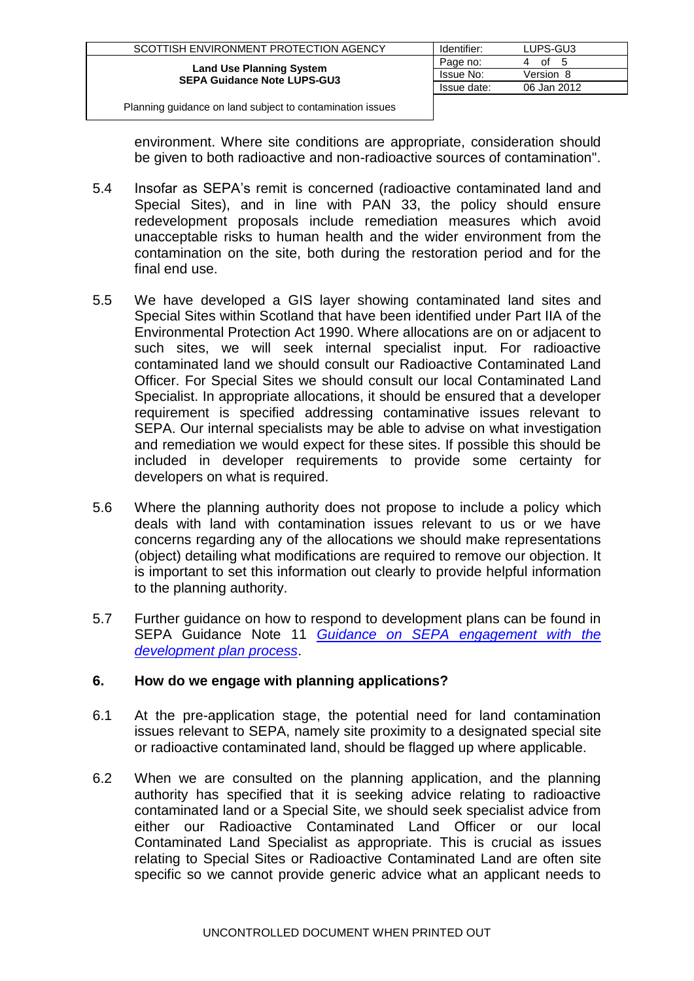| SCOTTISH ENVIRONMENT PROTECTION AGENCY                                | Identifier: | LUPS-GU3    |
|-----------------------------------------------------------------------|-------------|-------------|
| <b>Land Use Planning System</b><br><b>SEPA Guidance Note LUPS-GU3</b> | Page no:    | of<br>- 5   |
|                                                                       | Issue No:   | Version 8   |
|                                                                       | Issue date: | 06 Jan 2012 |
|                                                                       |             |             |

environment. Where site conditions are appropriate, consideration should be given to both radioactive and non-radioactive sources of contamination".

- 5.4 Insofar as SEPA's remit is concerned (radioactive contaminated land and Special Sites), and in line with PAN 33, the policy should ensure redevelopment proposals include remediation measures which avoid unacceptable risks to human health and the wider environment from the contamination on the site, both during the restoration period and for the final end use.
- 5.5 We have developed a GIS layer showing contaminated land sites and Special Sites within Scotland that have been identified under Part IIA of the Environmental Protection Act 1990. Where allocations are on or adjacent to such sites, we will seek internal specialist input. For radioactive contaminated land we should consult our Radioactive Contaminated Land Officer. For Special Sites we should consult our local Contaminated Land Specialist. In appropriate allocations, it should be ensured that a developer requirement is specified addressing contaminative issues relevant to SEPA. Our internal specialists may be able to advise on what investigation and remediation we would expect for these sites. If possible this should be included in developer requirements to provide some certainty for developers on what is required.
- 5.6 Where the planning authority does not propose to include a policy which deals with land with contamination issues relevant to us or we have concerns regarding any of the allocations we should make representations (object) detailing what modifications are required to remove our objection. It is important to set this information out clearly to provide helpful information to the planning authority.
- 5.7 Further guidance on how to respond to development plans can be found in SEPA Guidance Note 11 *[Guidance on SEPA engagement with the](http://www.sepa.org.uk/idoc.ashx?docid=b2403f90-531b-4e83-853d-b5266653b963&version=-1)  [development plan process](http://www.sepa.org.uk/idoc.ashx?docid=b2403f90-531b-4e83-853d-b5266653b963&version=-1)*.

# **6. How do we engage with planning applications?**

- 6.1 At the pre-application stage, the potential need for land contamination issues relevant to SEPA, namely site proximity to a designated special site or radioactive contaminated land, should be flagged up where applicable.
- 6.2 When we are consulted on the planning application, and the planning authority has specified that it is seeking advice relating to radioactive contaminated land or a Special Site, we should seek specialist advice from either our Radioactive Contaminated Land Officer or our local Contaminated Land Specialist as appropriate. This is crucial as issues relating to Special Sites or Radioactive Contaminated Land are often site specific so we cannot provide generic advice what an applicant needs to